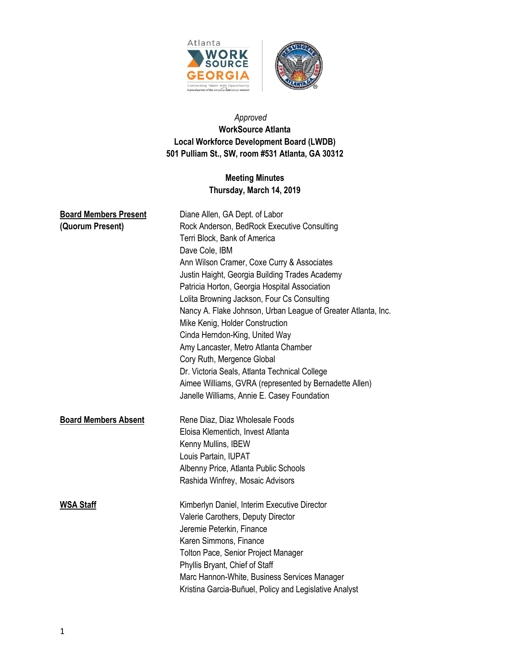



# *Approved*  **WorkSource Atlanta Local Workforce Development Board (LWDB) 501 Pulliam St., SW, room #531 Atlanta, GA 30312**

# **Meeting Minutes Thursday, March 14, 2019**

| <b>Board Members Present</b> | Diane Allen, GA Dept. of Labor                                |
|------------------------------|---------------------------------------------------------------|
| (Quorum Present)             | Rock Anderson, BedRock Executive Consulting                   |
|                              | Terri Block, Bank of America                                  |
|                              | Dave Cole, IBM                                                |
|                              | Ann Wilson Cramer, Coxe Curry & Associates                    |
|                              | Justin Haight, Georgia Building Trades Academy                |
|                              | Patricia Horton, Georgia Hospital Association                 |
|                              | Lolita Browning Jackson, Four Cs Consulting                   |
|                              | Nancy A. Flake Johnson, Urban League of Greater Atlanta, Inc. |
|                              | Mike Kenig, Holder Construction                               |
|                              | Cinda Herndon-King, United Way                                |
|                              | Amy Lancaster, Metro Atlanta Chamber                          |
|                              | Cory Ruth, Mergence Global                                    |
|                              | Dr. Victoria Seals, Atlanta Technical College                 |
|                              | Aimee Williams, GVRA (represented by Bernadette Allen)        |
|                              | Janelle Williams, Annie E. Casey Foundation                   |
| <b>Board Members Absent</b>  | Rene Diaz, Diaz Wholesale Foods                               |
|                              | Eloisa Klementich, Invest Atlanta                             |
|                              | Kenny Mullins, IBEW                                           |
|                              | Louis Partain, IUPAT                                          |
|                              | Albenny Price, Atlanta Public Schools                         |
|                              | Rashida Winfrey, Mosaic Advisors                              |
| <b>WSA Staff</b>             | Kimberlyn Daniel, Interim Executive Director                  |
|                              | Valerie Carothers, Deputy Director                            |
|                              | Jeremie Peterkin, Finance                                     |
|                              | Karen Simmons, Finance                                        |
|                              | Tolton Pace, Senior Project Manager                           |
|                              | Phyllis Bryant, Chief of Staff                                |
|                              | Marc Hannon-White, Business Services Manager                  |
|                              | Kristina Garcia-Buñuel, Policy and Legislative Analyst        |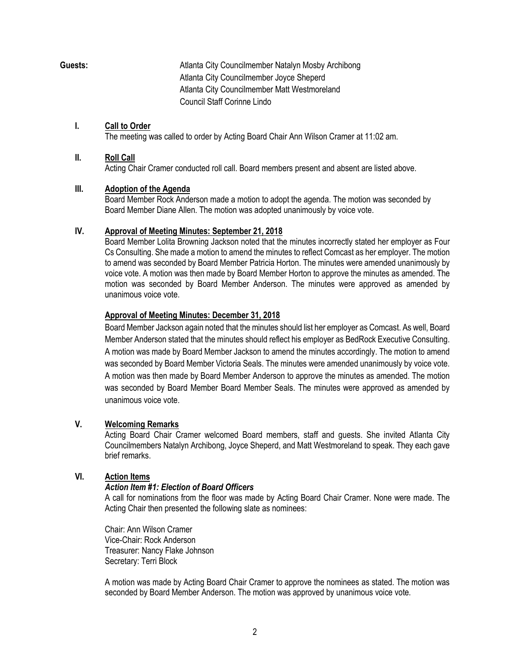**Guests:** Atlanta City Councilmember Natalyn Mosby Archibong Atlanta City Councilmember Joyce Sheperd Atlanta City Councilmember Matt Westmoreland Council Staff Corinne Lindo

#### **I. Call to Order**

The meeting was called to order by Acting Board Chair Ann Wilson Cramer at 11:02 am.

#### **II. Roll Call**

Acting Chair Cramer conducted roll call. Board members present and absent are listed above.

#### **III. Adoption of the Agenda**

Board Member Rock Anderson made a motion to adopt the agenda. The motion was seconded by Board Member Diane Allen. The motion was adopted unanimously by voice vote.

## **IV. Approval of Meeting Minutes: September 21, 2018**

Board Member Lolita Browning Jackson noted that the minutes incorrectly stated her employer as Four Cs Consulting. She made a motion to amend the minutes to reflect Comcast as her employer. The motion to amend was seconded by Board Member Patricia Horton. The minutes were amended unanimously by voice vote. A motion was then made by Board Member Horton to approve the minutes as amended. The motion was seconded by Board Member Anderson. The minutes were approved as amended by unanimous voice vote.

## **Approval of Meeting Minutes: December 31, 2018**

Board Member Jackson again noted that the minutes should list her employer as Comcast. As well, Board Member Anderson stated that the minutes should reflect his employer as BedRock Executive Consulting. A motion was made by Board Member Jackson to amend the minutes accordingly. The motion to amend was seconded by Board Member Victoria Seals. The minutes were amended unanimously by voice vote. A motion was then made by Board Member Anderson to approve the minutes as amended. The motion was seconded by Board Member Board Member Seals. The minutes were approved as amended by unanimous voice vote.

## **V. Welcoming Remarks**

Acting Board Chair Cramer welcomed Board members, staff and guests. She invited Atlanta City Councilmembers Natalyn Archibong, Joyce Sheperd, and Matt Westmoreland to speak. They each gave brief remarks.

## **VI. Action Items**

## *Action Item #1: Election of Board Officers*

A call for nominations from the floor was made by Acting Board Chair Cramer. None were made. The Acting Chair then presented the following slate as nominees:

Chair: Ann Wilson Cramer Vice-Chair: Rock Anderson Treasurer: Nancy Flake Johnson Secretary: Terri Block

A motion was made by Acting Board Chair Cramer to approve the nominees as stated. The motion was seconded by Board Member Anderson. The motion was approved by unanimous voice vote.